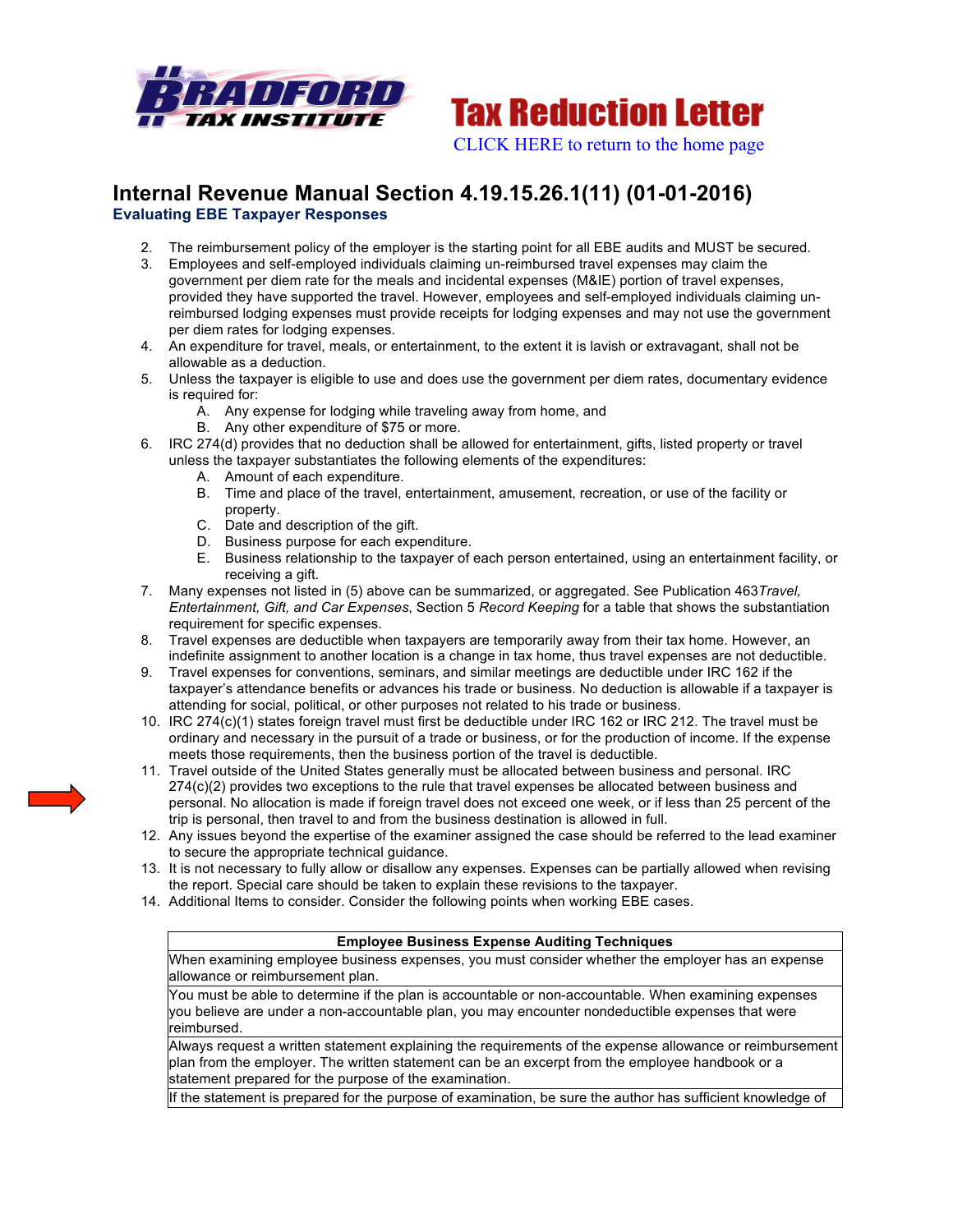



## **Internal Revenue Manual Section 4.19.15.26.1(11) (01-01-2016) Evaluating EBE Taxpayer Responses**

- 2. The reimbursement policy of the employer is the starting point for all EBE audits and MUST be secured.
- 3. Employees and self-employed individuals claiming un-reimbursed travel expenses may claim the government per diem rate for the meals and incidental expenses (M&IE) portion of travel expenses, provided they have supported the travel. However, employees and self-employed individuals claiming unreimbursed lodging expenses must provide receipts for lodging expenses and may not use the government per diem rates for lodging expenses.
- 4. An expenditure for travel, meals, or entertainment, to the extent it is lavish or extravagant, shall not be allowable as a deduction.
- 5. Unless the taxpayer is eligible to use and does use the government per diem rates, documentary evidence is required for:
	- A. Any expense for lodging while traveling away from home, and
	- B. Any other expenditure of \$75 or more.
- 6. IRC 274(d) provides that no deduction shall be allowed for entertainment, gifts, listed property or travel unless the taxpayer substantiates the following elements of the expenditures:
	- A. Amount of each expenditure.
	- B. Time and place of the travel, entertainment, amusement, recreation, or use of the facility or property.
	- C. Date and description of the gift.
	- D. Business purpose for each expenditure.
	- E. Business relationship to the taxpayer of each person entertained, using an entertainment facility, or receiving a gift.
- 7. Many expenses not listed in (5) above can be summarized, or aggregated. See Publication 463*Travel, Entertainment, Gift, and Car Expenses*, Section 5 *Record Keeping* for a table that shows the substantiation requirement for specific expenses.
- 8. Travel expenses are deductible when taxpayers are temporarily away from their tax home. However, an indefinite assignment to another location is a change in tax home, thus travel expenses are not deductible.
- 9. Travel expenses for conventions, seminars, and similar meetings are deductible under IRC 162 if the taxpayer's attendance benefits or advances his trade or business. No deduction is allowable if a taxpayer is attending for social, political, or other purposes not related to his trade or business.
- 10. IRC 274(c)(1) states foreign travel must first be deductible under IRC 162 or IRC 212. The travel must be ordinary and necessary in the pursuit of a trade or business, or for the production of income. If the expense meets those requirements, then the business portion of the travel is deductible.
- 11. Travel outside of the United States generally must be allocated between business and personal. IRC 274(c)(2) provides two exceptions to the rule that travel expenses be allocated between business and personal. No allocation is made if foreign travel does not exceed one week, or if less than 25 percent of the trip is personal, then travel to and from the business destination is allowed in full.
- 12. Any issues beyond the expertise of the examiner assigned the case should be referred to the lead examiner to secure the appropriate technical guidance.
- 13. It is not necessary to fully allow or disallow any expenses. Expenses can be partially allowed when revising the report. Special care should be taken to explain these revisions to the taxpayer.
- 14. Additional Items to consider. Consider the following points when working EBE cases.

## **Employee Business Expense Auditing Techniques**

When examining employee business expenses, you must consider whether the employer has an expense allowance or reimbursement plan.

You must be able to determine if the plan is accountable or non-accountable. When examining expenses you believe are under a non-accountable plan, you may encounter nondeductible expenses that were reimbursed.

Always request a written statement explaining the requirements of the expense allowance or reimbursement plan from the employer. The written statement can be an excerpt from the employee handbook or a statement prepared for the purpose of the examination.

If the statement is prepared for the purpose of examination, be sure the author has sufficient knowledge of